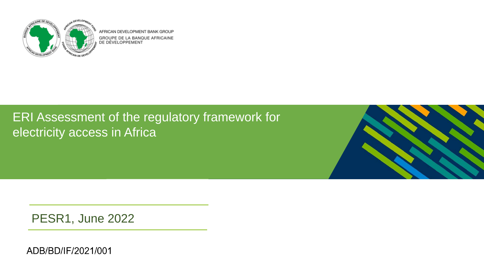

AFRICAN DEVELOPMENT BANK GROUP GROUPE DE LA BANQUE AFRICAINE )E DÉVELOPPEMENT

## ERI Assessment of the regulatory framework for electricity access in Africa



PESR1, June 2022

ADB/BD/IF/2021/001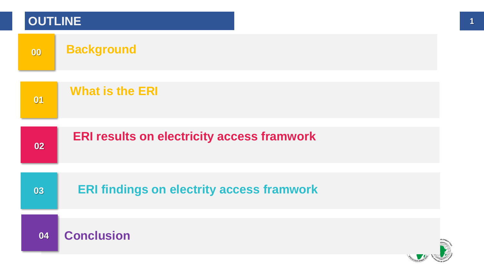| <b>OUTLINE</b> |                                                   |  |
|----------------|---------------------------------------------------|--|
| 00             | <b>Background</b>                                 |  |
| 01             | <b>What is the ERI</b>                            |  |
| 02             | <b>ERI results on electricity access framwork</b> |  |
| 03             | <b>ERI findings on electrity access framwork</b>  |  |
| 04             | <b>Conclusion</b>                                 |  |
|                |                                                   |  |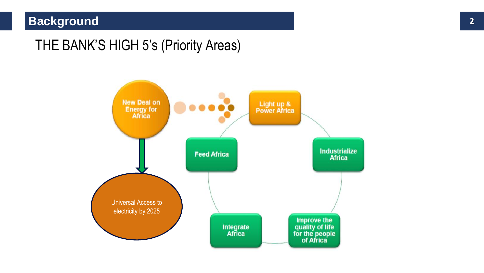### **Background 2**

## THE BANK'S HIGH 5's (Priority Areas)

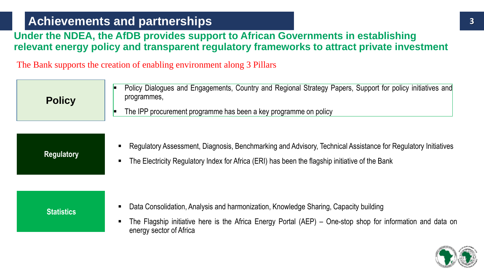### **Achievements and partnerships 3**

#### **Under the NDEA, the AfDB provides support to African Governments in establishing relevant energy policy and transparent regulatory frameworks to attract private investment**

The Bank supports the creation of enabling environment along 3 Pillars

| <b>Policy</b> | Policy Dialogues and Engagements, Country and Regional Strategy Papers, Support for policy initiatives and<br>programmes, |
|---------------|---------------------------------------------------------------------------------------------------------------------------|
|               | The IPP procurement programme has been a key programme on policy                                                          |

#### **Regulatory**

- Regulatory Assessment, Diagnosis, Benchmarking and Advisory, Technical Assistance for Regulatory Initiatives
- The Electricity Regulatory Index for Africa (ERI) has been the flagship initiative of the Bank

#### **Statistics**

- Data Consolidation, Analysis and harmonization, Knowledge Sharing, Capacity building
- The Flagship initiative here is the Africa Energy Portal (AEP) One-stop shop for information and data on energy sector of Africa

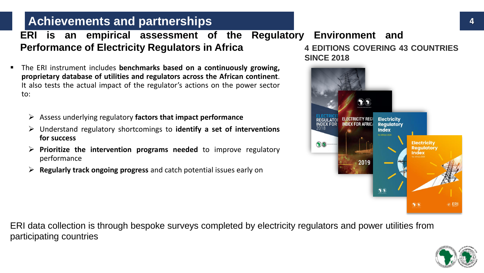#### **Achievements and partnerships**

**ERI is an empirical assessment of the Regulatory Environment and Performance of Electricity Regulators in Africa**

- The ERI instrument includes **benchmarks based on a continuously growing, proprietary database of utilities and regulators across the African continent**. It also tests the actual impact of the regulator's actions on the power sector to:
	- ➢ Assess underlying regulatory **factors that impact performance**
	- ➢ Understand regulatory shortcomings to **identify a set of interventions for success**
	- ➢ **Prioritize the intervention programs needed** to improve regulatory performance
	- ➢ **Regularly track ongoing progress** and catch potential issues early on

**4 EDITIONS COVERING 43 COUNTRIES SINCE 2018**



ERI data collection is through bespoke surveys completed by electricity regulators and power utilities from participating countries

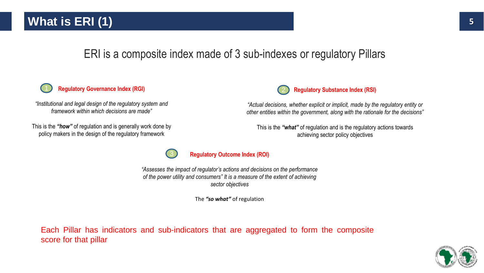### **What is ERI (1)** 5

### ERI is a composite index made of 3 sub-indexes or regulatory Pillars

#### **Regulatory Governance Index (RGI)**

*"Institutional and legal design of the regulatory system and framework within which decisions are made"* 

This is the *"how"* of regulation and is generally work done by policy makers in the design of the regulatory framework



*"Actual decisions, whether explicit or implicit, made by the regulatory entity or other entities within the government, along with the rationale for the decisions"*

This is the *"what"* of regulation and is the regulatory actions towards achieving sector policy objectives



#### **Regulatory Outcome Index (ROI)**

*"Assesses the impact of regulator's actions and decisions on the performance of the power utility and consumers" It is a measure of the extent of achieving sector objectives*

The *"so what"* of regulation

Each Pillar has indicators and sub-indicators that are aggregated to form the composite score for that pillar

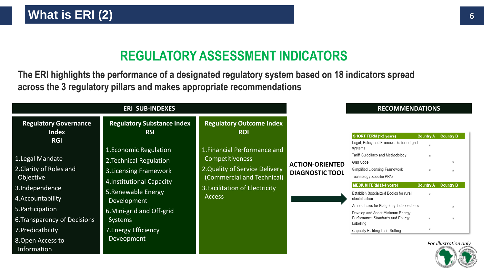## **REGULATORY ASSESSMENT INDICATORS**

**The ERI highlights the performance of a designated regulatory system based on 18 indicators spread across the 3 regulatory pillars and makes appropriate recommendations** 

|                                                                                                                                                                                                              | <b>ERI SUB-INDEXES</b>                                                                                                                                                                                                       | <b>RECOMMENDATIONS</b>                                                                                                                                                    |                                                  |                                                                                                                                                                                                                                                                                                                                                                                          |                                                                         |                                           |
|--------------------------------------------------------------------------------------------------------------------------------------------------------------------------------------------------------------|------------------------------------------------------------------------------------------------------------------------------------------------------------------------------------------------------------------------------|---------------------------------------------------------------------------------------------------------------------------------------------------------------------------|--------------------------------------------------|------------------------------------------------------------------------------------------------------------------------------------------------------------------------------------------------------------------------------------------------------------------------------------------------------------------------------------------------------------------------------------------|-------------------------------------------------------------------------|-------------------------------------------|
| <b>Regulatory Governance</b><br><b>Index</b><br><b>RGI</b>                                                                                                                                                   | <b>Regulatory Substance Index</b><br><b>RSI</b>                                                                                                                                                                              | <b>Regulatory Outcome Index</b><br><b>ROI</b>                                                                                                                             |                                                  | SHORT TERM (1-2 years)<br>Legal, Policy and Frameworks for off-grid                                                                                                                                                                                                                                                                                                                      | <b>Country A</b>                                                        | <b>Country B</b>                          |
| 1. Legal Mandate<br>2. Clarity of Roles and<br>Objective<br>3.Independence<br>4. Accountability<br>5. Participation<br>6. Transparency of Decisions<br>7. Predicatbility<br>8. Open Access to<br>Information | 1. Economic Regulation<br>2. Technical Regulation<br>3. Licensing Framework<br>4. Institutional Capacity<br>5. Renewable Energy<br>Development<br>6. Mini-grid and Off-grid<br>Systems<br>7. Energy Efficiency<br>Deveopment | 1. Financial Performance and<br><b>Competitiveness</b><br>2. Quality of Service Delivery<br>(Commercial and Technical)<br>3. Facilitation of Electricity<br><b>Access</b> | <b>ACTION-ORIENTED</b><br><b>DIAGNOSTIC TOOL</b> | systems<br>Tariff Guidelines and Methodology<br>Grid Code<br>Simplified Licensing Framework<br>Technology Specific PPAs<br><b>MEDIUM TERM (3-4 years)</b><br>Establish Specialized Bodies for rural<br>electrification<br>Amend Laws for Budgetary Independence<br>Develop and Adopt Minimum Energy<br>Performance Standards and Energy<br>Labelling<br>Capacity Building Tariff-Setting | 30 <sup>2</sup><br>$\mathcal{R}$<br><b>Country A</b><br>30 <sup>2</sup> | <b>Country B</b><br>For illustration only |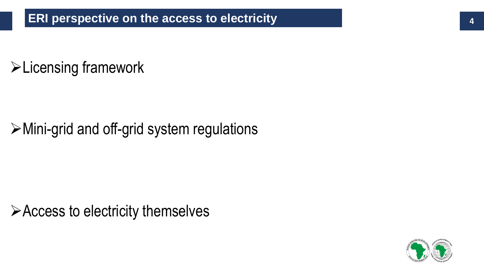# ➢Licensing framework

# ➢Mini-grid and off-grid system regulations

➢Access to electricity themselves

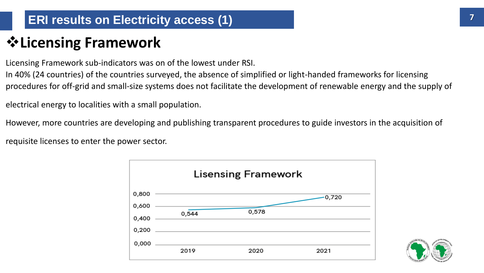## ❖**Licensing Framework**

Licensing Framework sub-indicators was on of the lowest under RSI.

In 40% (24 countries) of the countries surveyed, the absence of simplified or light-handed frameworks for licensing procedures for off-grid and small-size systems does not facilitate the development of renewable energy and the supply of

electrical energy to localities with a small population.

However, more countries are developing and publishing transparent procedures to guide investors in the acquisition of

requisite licenses to enter the power sector.



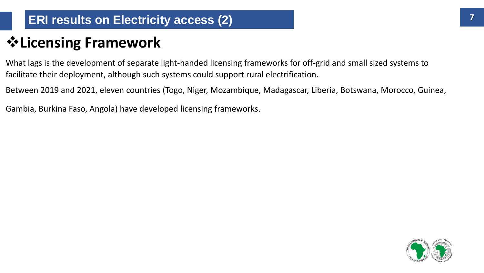## ❖**Licensing Framework**

What lags is the development of separate light-handed licensing frameworks for off-grid and small sized systems to facilitate their deployment, although such systems could support rural electrification.

Between 2019 and 2021, eleven countries (Togo, Niger, Mozambique, Madagascar, Liberia, Botswana, Morocco, Guinea,

Gambia, Burkina Faso, Angola) have developed licensing frameworks.

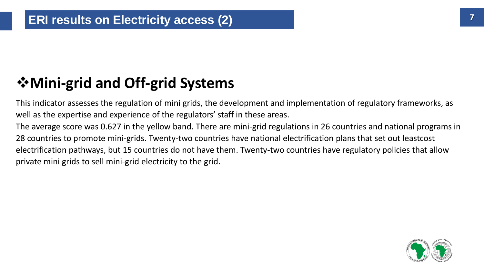## ❖**Mini-grid and Off-grid Systems**

This indicator assesses the regulation of mini grids, the development and implementation of regulatory frameworks, as well as the expertise and experience of the regulators' staff in these areas.

The average score was 0.627 in the yellow band. There are mini-grid regulations in 26 countries and national programs in 28 countries to promote mini-grids. Twenty-two countries have national electrification plans that set out leastcost electrification pathways, but 15 countries do not have them. Twenty-two countries have regulatory policies that allow private mini grids to sell mini-grid electricity to the grid.

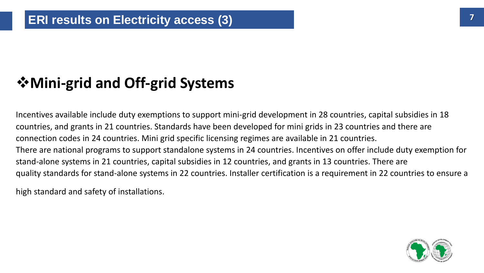## ❖**Mini-grid and Off-grid Systems**

Incentives available include duty exemptions to support mini-grid development in 28 countries, capital subsidies in 18 countries, and grants in 21 countries. Standards have been developed for mini grids in 23 countries and there are connection codes in 24 countries. Mini grid specific licensing regimes are available in 21 countries. There are national programs to support standalone systems in 24 countries. Incentives on offer include duty exemption for stand-alone systems in 21 countries, capital subsidies in 12 countries, and grants in 13 countries. There are quality standards for stand-alone systems in 22 countries. Installer certification is a requirement in 22 countries to ensure a

high standard and safety of installations.

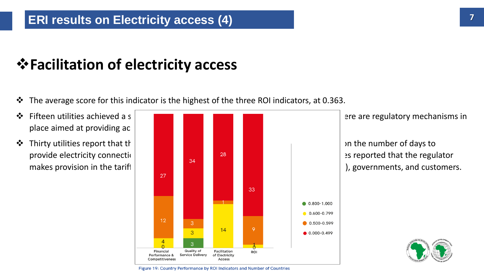#### **ERI results on Electricity access (4)**

## ❖**Facilitation of electricity access**

- ❖ The average score for this indicator is the highest of the three ROI indicators, at 0.363.
- place aimed at providing ac
- 





Figure 19: Country Performance by ROI Indicators and Number of Countries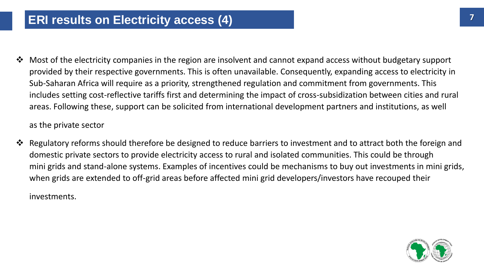❖ Most of the electricity companies in the region are insolvent and cannot expand access without budgetary support provided by their respective governments. This is often unavailable. Consequently, expanding access to electricity in Sub-Saharan Africa will require as a priority, strengthened regulation and commitment from governments. This includes setting cost-reflective tariffs first and determining the impact of cross-subsidization between cities and rural areas. Following these, support can be solicited from international development partners and institutions, as well

as the private sector

❖ Regulatory reforms should therefore be designed to reduce barriers to investment and to attract both the foreign and domestic private sectors to provide electricity access to rural and isolated communities. This could be through mini grids and stand-alone systems. Examples of incentives could be mechanisms to buy out investments in mini grids, when grids are extended to off-grid areas before affected mini grid developers/investors have recouped their

investments.

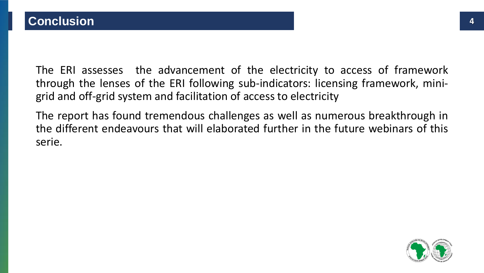The ERI assesses the advancement of the electricity to access of framework through the lenses of the ERI following sub-indicators: licensing framework, minigrid and off-grid system and facilitation of access to electricity

The report has found tremendous challenges as well as numerous breakthrough in the different endeavours that will elaborated further in the future webinars of this serie.